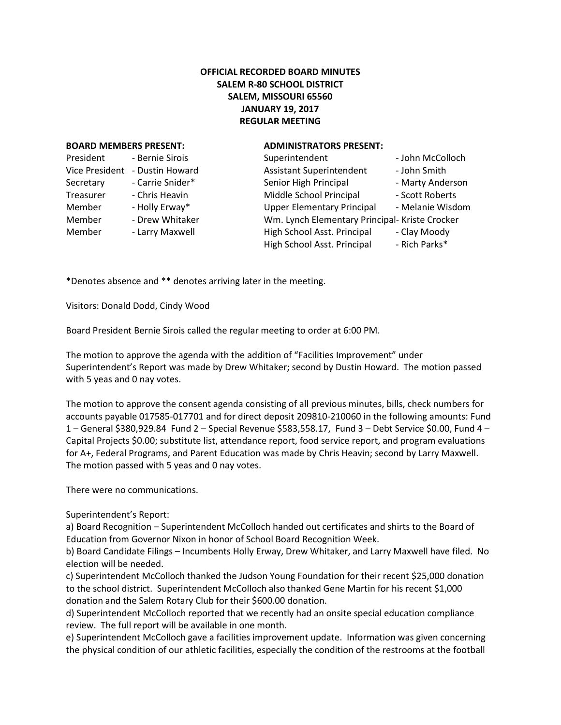## **OFFICIAL RECORDED BOARD MINUTES SALEM R-80 SCHOOL DISTRICT SALEM, MISSOURI 65560 JANUARY 19, 2017 REGULAR MEETING**

## **BOARD MEMBERS PRESENT: ADMINISTRATORS PRESENT:**

| President             | - Bernie Sirois  |
|-----------------------|------------------|
| <b>Vice President</b> | - Dustin Howard  |
| Secretary             | - Carrie Snider* |
| Treasurer             | - Chris Heavin   |
| Member                | - Holly Erway*   |
| Member                | - Drew Whitaker  |
| Member                | - Larry Maxwell  |
|                       |                  |

| President      | - Bernie Sirois  | Superintendent                                 | - John McColloch |
|----------------|------------------|------------------------------------------------|------------------|
| Vice President | - Dustin Howard  | <b>Assistant Superintendent</b>                | - John Smith     |
| Secretary      | - Carrie Snider* | Senior High Principal                          | - Marty Anderson |
| Treasurer      | - Chris Heavin   | Middle School Principal                        | - Scott Roberts  |
| Member         | - Holly Erway*   | <b>Upper Elementary Principal</b>              | - Melanie Wisdom |
| Member         | - Drew Whitaker  | Wm. Lynch Elementary Principal- Kriste Crocker |                  |
| Member         | - Larry Maxwell  | High School Asst. Principal                    | - Clay Moody     |
|                |                  | High School Asst. Principal                    | - Rich Parks*    |
|                |                  |                                                |                  |

\*Denotes absence and \*\* denotes arriving later in the meeting.

Visitors: Donald Dodd, Cindy Wood

Board President Bernie Sirois called the regular meeting to order at 6:00 PM.

The motion to approve the agenda with the addition of "Facilities Improvement" under Superintendent's Report was made by Drew Whitaker; second by Dustin Howard. The motion passed with 5 yeas and 0 nay votes.

The motion to approve the consent agenda consisting of all previous minutes, bills, check numbers for accounts payable 017585-017701 and for direct deposit 209810-210060 in the following amounts: Fund 1 – General \$380,929.84 Fund 2 – Special Revenue \$583,558.17, Fund 3 – Debt Service \$0.00, Fund 4 – Capital Projects \$0.00; substitute list, attendance report, food service report, and program evaluations for A+, Federal Programs, and Parent Education was made by Chris Heavin; second by Larry Maxwell. The motion passed with 5 yeas and 0 nay votes.

There were no communications.

Superintendent's Report:

a) Board Recognition – Superintendent McColloch handed out certificates and shirts to the Board of Education from Governor Nixon in honor of School Board Recognition Week.

b) Board Candidate Filings – Incumbents Holly Erway, Drew Whitaker, and Larry Maxwell have filed. No election will be needed.

c) Superintendent McColloch thanked the Judson Young Foundation for their recent \$25,000 donation to the school district. Superintendent McColloch also thanked Gene Martin for his recent \$1,000 donation and the Salem Rotary Club for their \$600.00 donation.

d) Superintendent McColloch reported that we recently had an onsite special education compliance review. The full report will be available in one month.

e) Superintendent McColloch gave a facilities improvement update. Information was given concerning the physical condition of our athletic facilities, especially the condition of the restrooms at the football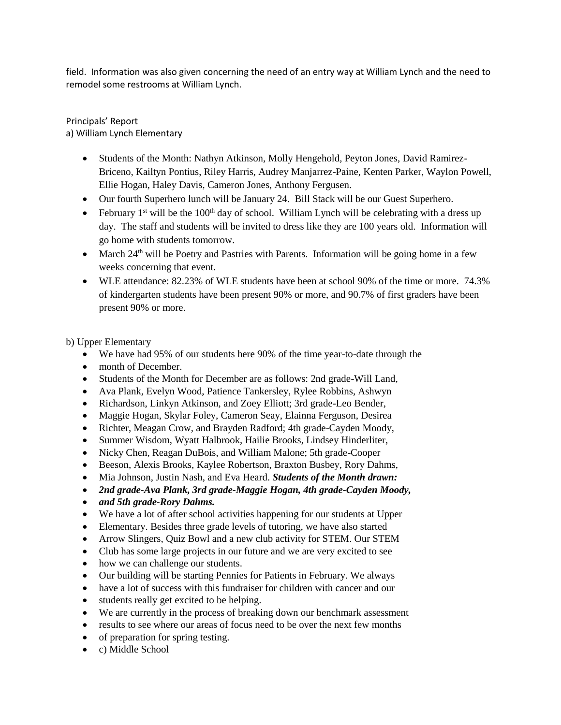field. Information was also given concerning the need of an entry way at William Lynch and the need to remodel some restrooms at William Lynch.

Principals' Report a) William Lynch Elementary

- Students of the Month: Nathyn Atkinson, Molly Hengehold, Peyton Jones, David Ramirez-Briceno, Kailtyn Pontius, Riley Harris, Audrey Manjarrez-Paine, Kenten Parker, Waylon Powell, Ellie Hogan, Haley Davis, Cameron Jones, Anthony Fergusen.
- Our fourth Superhero lunch will be January 24. Bill Stack will be our Guest Superhero.
- February 1<sup>st</sup> will be the 100<sup>th</sup> day of school. William Lynch will be celebrating with a dress up day. The staff and students will be invited to dress like they are 100 years old. Information will go home with students tomorrow.
- March 24<sup>th</sup> will be Poetry and Pastries with Parents. Information will be going home in a few weeks concerning that event.
- WLE attendance: 82.23% of WLE students have been at school 90% of the time or more. 74.3% of kindergarten students have been present 90% or more, and 90.7% of first graders have been present 90% or more.

b) Upper Elementary

- We have had 95% of our students here 90% of the time year-to-date through the
- month of December.
- Students of the Month for December are as follows: 2nd grade-Will Land,
- Ava Plank, Evelyn Wood, Patience Tankersley, Rylee Robbins, Ashwyn
- Richardson, Linkyn Atkinson, and Zoey Elliott; 3rd grade-Leo Bender,
- Maggie Hogan, Skylar Foley, Cameron Seay, Elainna Ferguson, Desirea
- Richter, Meagan Crow, and Brayden Radford; 4th grade-Cayden Moody,
- Summer Wisdom, Wyatt Halbrook, Hailie Brooks, Lindsey Hinderliter,
- Nicky Chen, Reagan DuBois, and William Malone; 5th grade-Cooper
- Beeson, Alexis Brooks, Kaylee Robertson, Braxton Busbey, Rory Dahms,
- Mia Johnson, Justin Nash, and Eva Heard. *Students of the Month drawn:*
- *2nd grade-Ava Plank, 3rd grade-Maggie Hogan, 4th grade-Cayden Moody,*
- *and 5th grade-Rory Dahms.*
- We have a lot of after school activities happening for our students at Upper
- Elementary. Besides three grade levels of tutoring, we have also started
- Arrow Slingers, Quiz Bowl and a new club activity for STEM. Our STEM
- Club has some large projects in our future and we are very excited to see
- how we can challenge our students.
- Our building will be starting Pennies for Patients in February. We always
- have a lot of success with this fundraiser for children with cancer and our
- students really get excited to be helping.
- We are currently in the process of breaking down our benchmark assessment
- results to see where our areas of focus need to be over the next few months
- of preparation for spring testing.
- c) Middle School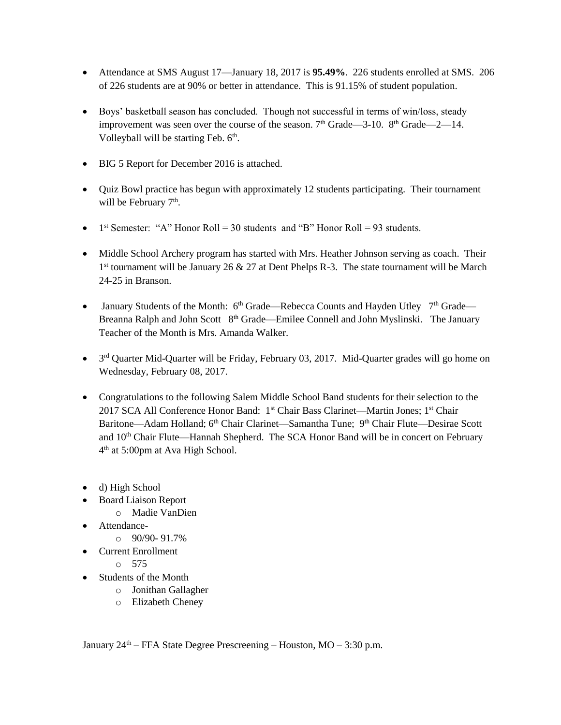- Attendance at SMS August 17—January 18, 2017 is **95.49%**. 226 students enrolled at SMS. 206 of 226 students are at 90% or better in attendance. This is 91.15% of student population.
- Boys' basketball season has concluded. Though not successful in terms of win/loss, steady improvement was seen over the course of the season.  $7<sup>th</sup>$  Grade—3-10.  $8<sup>th</sup>$  Grade—2—14. Volleyball will be starting Feb. 6<sup>th</sup>.
- BIG 5 Report for December 2016 is attached.
- Quiz Bowl practice has begun with approximately 12 students participating. Their tournament will be February 7<sup>th</sup>.
- 1<sup>st</sup> Semester: "A" Honor Roll = 30 students and "B" Honor Roll = 93 students.
- Middle School Archery program has started with Mrs. Heather Johnson serving as coach. Their 1<sup>st</sup> tournament will be January 26 & 27 at Dent Phelps R-3. The state tournament will be March 24-25 in Branson.
- January Students of the Month:  $6<sup>th</sup> Grade—Rebecca Counts$  and Hayden Utley  $7<sup>th</sup> Grade—$ Breanna Ralph and John Scott 8<sup>th</sup> Grade—Emilee Connell and John Myslinski. The January Teacher of the Month is Mrs. Amanda Walker.
- 3<sup>rd</sup> Quarter Mid-Quarter will be Friday, February 03, 2017. Mid-Quarter grades will go home on Wednesday, February 08, 2017.
- Congratulations to the following Salem Middle School Band students for their selection to the 2017 SCA All Conference Honor Band: 1<sup>st</sup> Chair Bass Clarinet—Martin Jones; 1<sup>st</sup> Chair Baritone—Adam Holland; 6<sup>th</sup> Chair Clarinet—Samantha Tune; 9<sup>th</sup> Chair Flute—Desirae Scott and 10<sup>th</sup> Chair Flute—Hannah Shepherd. The SCA Honor Band will be in concert on February 4 th at 5:00pm at Ava High School.
- d) High School
- Board Liaison Report
	- o Madie VanDien
- Attendance-
	- $\circ$  90/90-91.7%
- Current Enrollment
	- $\circ$  575
- Students of the Month
	- o Jonithan Gallagher
	- o Elizabeth Cheney

January  $24<sup>th</sup>$  – FFA State Degree Prescreening – Houston, MO – 3:30 p.m.